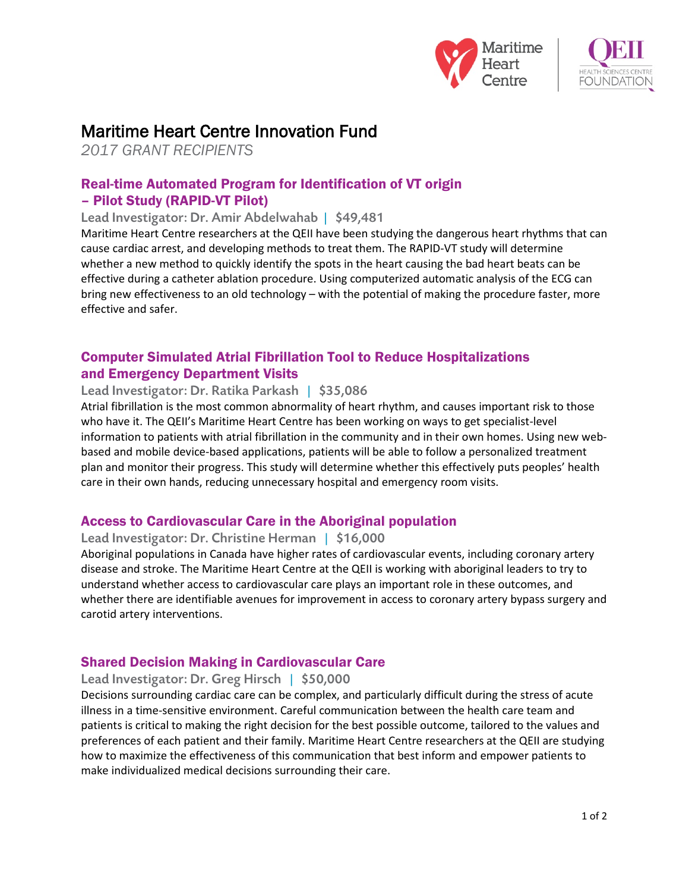



# Maritime Heart Centre Innovation Fund

*2017 GRANT RECIPIENTS*

# Real-time Automated Program for Identification of VT origin – Pilot Study (RAPID-VT Pilot)

Lead Investigator: Dr. Amir Abdelwahab | \$49,481

Maritime Heart Centre researchers at the QEII have been studying the dangerous heart rhythms that can cause cardiac arrest, and developing methods to treat them. The RAPID-VT study will determine whether a new method to quickly identify the spots in the heart causing the bad heart beats can be effective during a catheter ablation procedure. Using computerized automatic analysis of the ECG can bring new effectiveness to an old technology – with the potential of making the procedure faster, more effective and safer.

## Computer Simulated Atrial Fibrillation Tool to Reduce Hospitalizations and Emergency Department Visits

#### Lead Investigator: Dr. Ratika Parkash | \$35,086

Atrial fibrillation is the most common abnormality of heart rhythm, and causes important risk to those who have it. The QEII's Maritime Heart Centre has been working on ways to get specialist-level information to patients with atrial fibrillation in the community and in their own homes. Using new webbased and mobile device-based applications, patients will be able to follow a personalized treatment plan and monitor their progress. This study will determine whether this effectively puts peoples' health care in their own hands, reducing unnecessary hospital and emergency room visits.

#### Access to Cardiovascular Care in the Aboriginal population

#### Lead Investigator: Dr. Christine Herman | \$16,000

Aboriginal populations in Canada have higher rates of cardiovascular events, including coronary artery disease and stroke. The Maritime Heart Centre at the QEII is working with aboriginal leaders to try to understand whether access to cardiovascular care plays an important role in these outcomes, and whether there are identifiable avenues for improvement in access to coronary artery bypass surgery and carotid artery interventions.

# Shared Decision Making in Cardiovascular Care

#### Lead Investigator: Dr. Greg Hirsch | \$50,000

Decisions surrounding cardiac care can be complex, and particularly difficult during the stress of acute illness in a time-sensitive environment. Careful communication between the health care team and patients is critical to making the right decision for the best possible outcome, tailored to the values and preferences of each patient and their family. Maritime Heart Centre researchers at the QEII are studying how to maximize the effectiveness of this communication that best inform and empower patients to make individualized medical decisions surrounding their care.